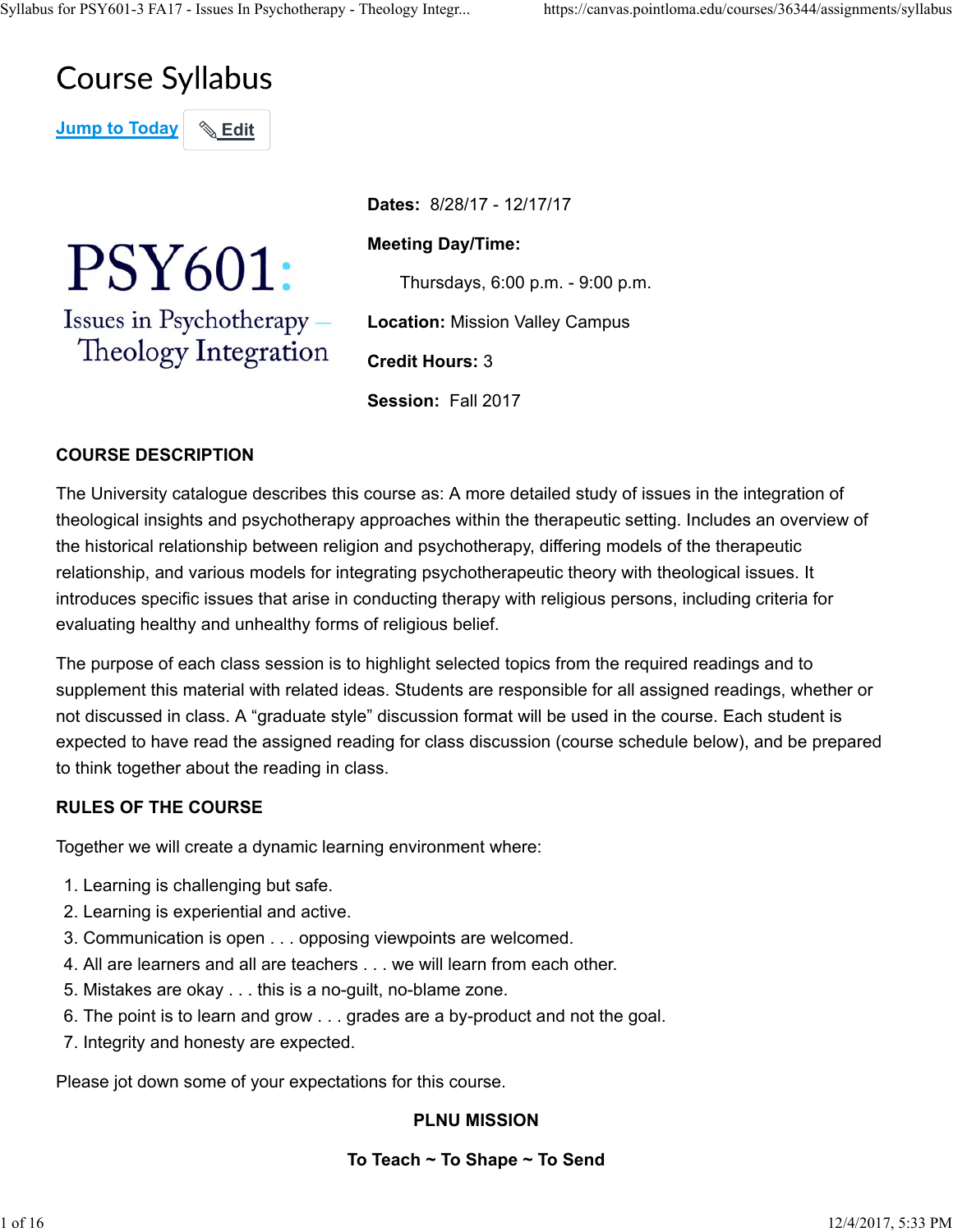# **Course Syllabus**

**Jump to Today | & Edit** 

PSY601: Issues in Psychotherapy -Theology Integration

**Dates:** 8/28/17 - 12/17/17 **Meeting Day/Time:** Thursdays, 6:00 p.m. - 9:00 p.m. **Location:** Mission Valley Campus **Credit Hours:** 3 **Session:** Fall 2017

# **COURSE DESCRIPTION**

The University catalogue describes this course as: A more detailed study of issues in the integration of theological insights and psychotherapy approaches within the therapeutic setting. Includes an overview of the historical relationship between religion and psychotherapy, differing models of the therapeutic relationship, and various models for integrating psychotherapeutic theory with theological issues. It introduces specific issues that arise in conducting therapy with religious persons, including criteria for evaluating healthy and unhealthy forms of religious belief.

The purpose of each class session is to highlight selected topics from the required readings and to supplement this material with related ideas. Students are responsible for all assigned readings, whether or not discussed in class. A "graduate style" discussion format will be used in the course. Each student is expected to have read the assigned reading for class discussion (course schedule below), and be prepared to think together about the reading in class.

## **RULES OF THE COURSE**

Together we will create a dynamic learning environment where:

- 1. Learning is challenging but safe.
- 2. Learning is experiential and active.
- 3. Communication is open . . . opposing viewpoints are welcomed.
- 4. All are learners and all are teachers . . . we will learn from each other.
- 5. Mistakes are okay . . . this is a no-guilt, no-blame zone.
- 6. The point is to learn and grow . . . grades are a by-product and not the goal.
- 7. Integrity and honesty are expected.

Please jot down some of your expectations for this course.

# **PLNU MISSION**

# **To Teach ~ To Shape ~ To Send**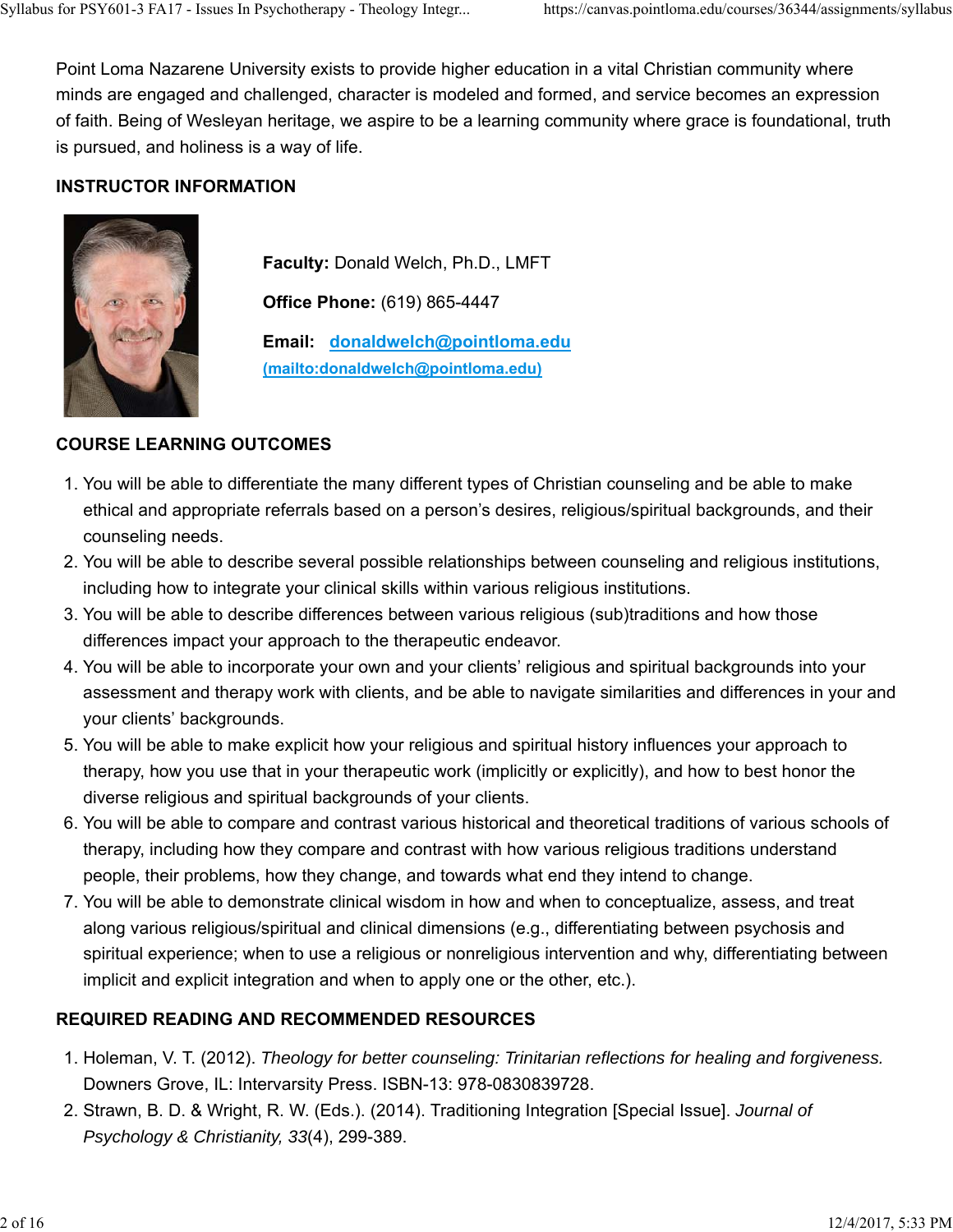Point Loma Nazarene University exists to provide higher education in a vital Christian community where minds are engaged and challenged, character is modeled and formed, and service becomes an expression of faith. Being of Wesleyan heritage, we aspire to be a learning community where grace is foundational, truth is pursued, and holiness is a way of life.

## **INSTRUCTOR INFORMATION**



**Faculty:** Donald Welch, Ph.D., LMFT **Office Phone:** (619) 865-4447 **Email: donaldwelch@pointloma.edu (mailto:donaldwelch@pointloma.edu)**

## **COURSE LEARNING OUTCOMES**

- 1. You will be able to differentiate the many different types of Christian counseling and be able to make ethical and appropriate referrals based on a person's desires, religious/spiritual backgrounds, and their counseling needs.
- 2. You will be able to describe several possible relationships between counseling and religious institutions, including how to integrate your clinical skills within various religious institutions.
- 3. You will be able to describe differences between various religious (sub)traditions and how those differences impact your approach to the therapeutic endeavor.
- 4. You will be able to incorporate your own and your clients' religious and spiritual backgrounds into your assessment and therapy work with clients, and be able to navigate similarities and differences in your and your clients' backgrounds.
- 5. You will be able to make explicit how your religious and spiritual history influences your approach to therapy, how you use that in your therapeutic work (implicitly or explicitly), and how to best honor the diverse religious and spiritual backgrounds of your clients.
- 6. You will be able to compare and contrast various historical and theoretical traditions of various schools of therapy, including how they compare and contrast with how various religious traditions understand people, their problems, how they change, and towards what end they intend to change.
- 7. You will be able to demonstrate clinical wisdom in how and when to conceptualize, assess, and treat along various religious/spiritual and clinical dimensions (e.g., differentiating between psychosis and spiritual experience; when to use a religious or nonreligious intervention and why, differentiating between implicit and explicit integration and when to apply one or the other, etc.).

# **REQUIRED READING AND RECOMMENDED RESOURCES**

- 1. Holeman, V. T. (2012). Theology for better counseling: Trinitarian reflections for healing and forgiveness. Downers Grove, IL: Intervarsity Press. ISBN-13: 978-0830839728.
- 2. Strawn, B. D. & Wright, R. W. (Eds.). (2014). Traditioning Integration [Special Issue]. *Journal of Psychology & Christianity, 33*(4), 299-389.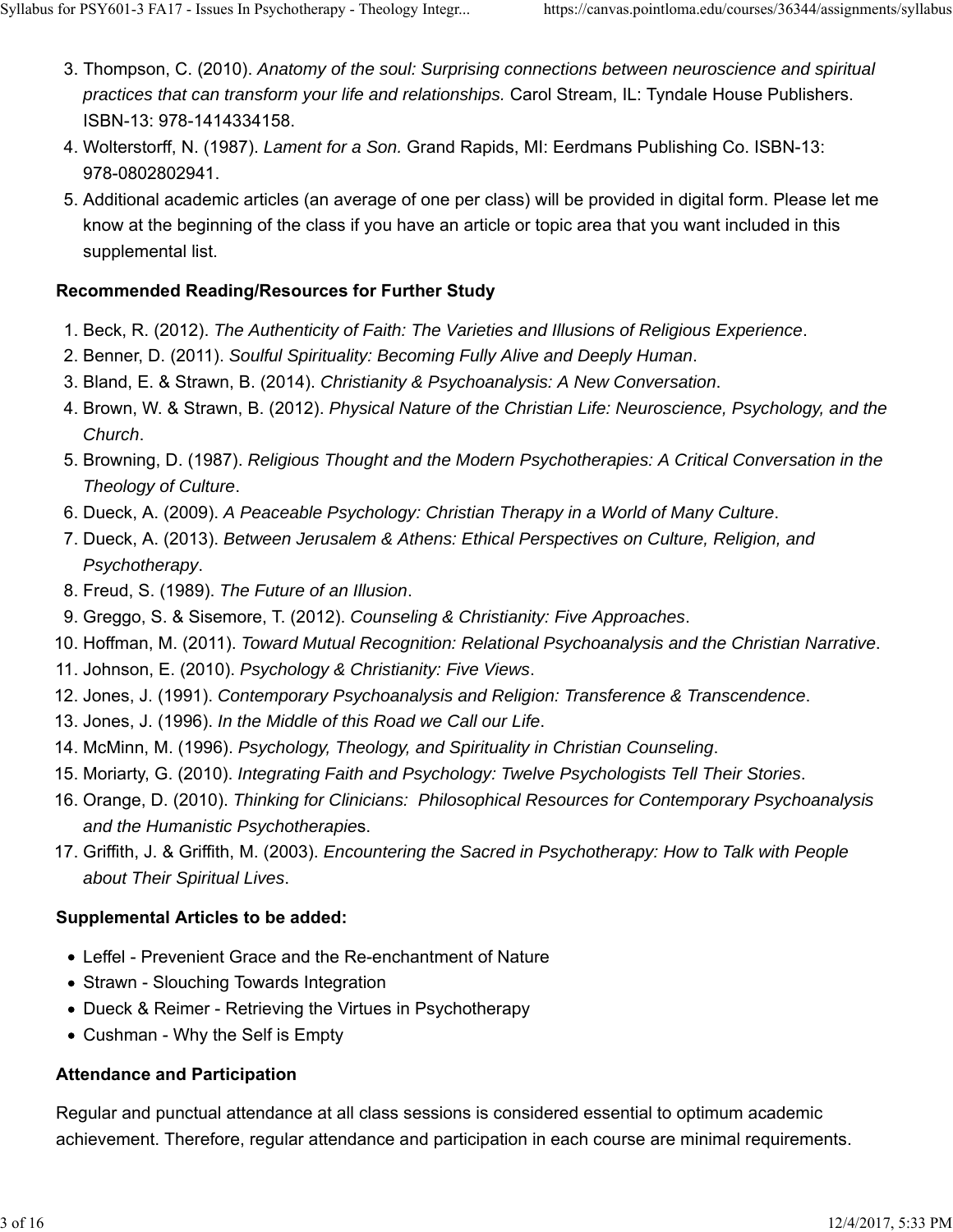- 3. Thompson, C. (2010). Anatomy of the soul: Surprising connections between neuroscience and spiritual *practices that can transform your life and relationships.* Carol Stream, IL: Tyndale House Publishers. ISBN-13: 978-1414334158.
- Wolterstorff, N. (1987). *Lament for a Son.* Grand Rapids, MI: Eerdmans Publishing Co. ISBN-13: 4. 978-0802802941.
- 5. Additional academic articles (an average of one per class) will be provided in digital form. Please let me know at the beginning of the class if you have an article or topic area that you want included in this supplemental list.

## **Recommended Reading/Resources for Further Study**

- 1. Beck, R. (2012). *The Authenticity of Faith: The Varieties and Illusions of Religious Experience*.
- 2. Benner, D. (2011). *Soulful Spirituality: Becoming Fully Alive and Deeply Human*.
- 3. Bland, E. & Strawn, B. (2014). *Christianity & Psychoanalysis: A New Conversation*.
- 4. Brown, W. & Strawn, B. (2012). *Physical Nature of the Christian Life: Neuroscience, Psychology, and the Church*.
- 5. Browning, D. (1987). *Religious Thought and the Modern Psychotherapies: A Critical Conversation in the Theology of Culture*.
- 6. Dueck, A. (2009). *A Peaceable Psychology: Christian Therapy in a World of Many Culture*.
- 7. Dueck, A. (2013). *Between Jerusalem & Athens: Ethical Perspectives on Culture, Religion, and Psychotherapy*.
- 8. Freud, S. (1989). *The Future of an Illusion*.
- 9. Greggo, S. & Sisemore, T. (2012). *Counseling & Christianity: Five Approaches*.
- 10. Hoffman, M. (2011). *Toward Mutual Recognition: Relational Psychoanalysis and the Christian Narrative*.
- 11. Johnson, E. (2010). *Psychology & Christianity: Five Views*.
- 12. Jones, J. (1991). *Contemporary Psychoanalysis and Religion: Transference & Transcendence*.
- 13. Jones, J. (1996). *In the Middle of this Road we Call our Life*.
- 14. McMinn, M. (1996). *Psychology, Theology, and Spirituality in Christian Counseling*.
- 15. Moriarty, G. (2010). *Integrating Faith and Psychology: Twelve Psychologists Tell Their Stories*.
- 16. Orange, D. (2010). Thinking for Clinicians: Philosophical Resources for Contemporary Psychoanalysis *and the Humanistic Psychotherapie*s.
- 17. Griffith, J. & Griffith, M. (2003). *Encountering the Sacred in Psychotherapy: How to Talk with People about Their Spiritual Lives*.

# **Supplemental Articles to be added:**

- Leffel Prevenient Grace and the Re-enchantment of Nature
- Strawn Slouching Towards Integration
- Dueck & Reimer Retrieving the Virtues in Psychotherapy
- Cushman Why the Self is Empty

## **Attendance and Participation**

Regular and punctual attendance at all class sessions is considered essential to optimum academic achievement. Therefore, regular attendance and participation in each course are minimal requirements.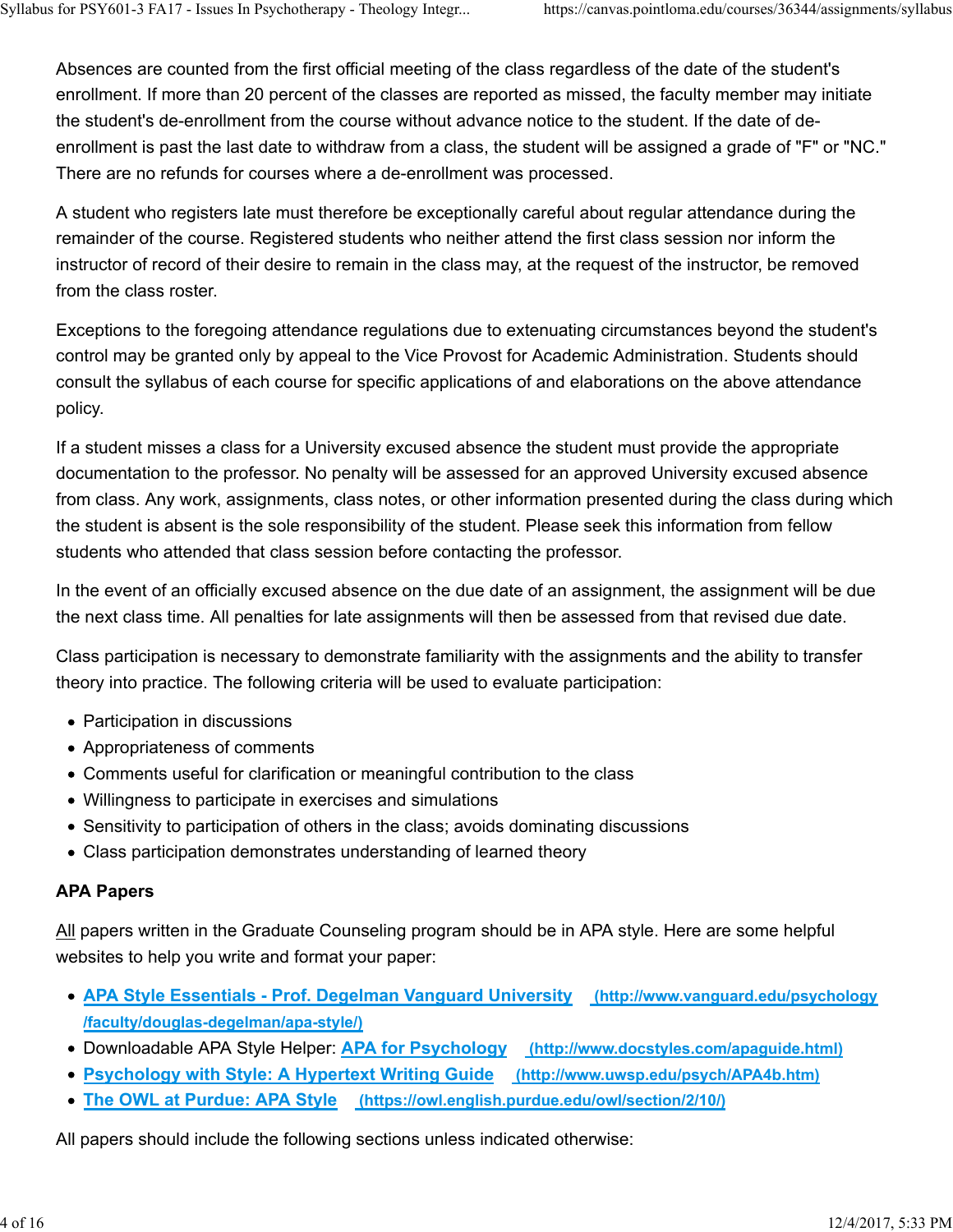Absences are counted from the first official meeting of the class regardless of the date of the student's enrollment. If more than 20 percent of the classes are reported as missed, the faculty member may initiate the student's de-enrollment from the course without advance notice to the student. If the date of deenrollment is past the last date to withdraw from a class, the student will be assigned a grade of "F" or "NC." There are no refunds for courses where a de-enrollment was processed.

A student who registers late must therefore be exceptionally careful about regular attendance during the remainder of the course. Registered students who neither attend the first class session nor inform the instructor of record of their desire to remain in the class may, at the request of the instructor, be removed from the class roster.

Exceptions to the foregoing attendance regulations due to extenuating circumstances beyond the student's control may be granted only by appeal to the Vice Provost for Academic Administration. Students should consult the syllabus of each course for specific applications of and elaborations on the above attendance policy.

If a student misses a class for a University excused absence the student must provide the appropriate documentation to the professor. No penalty will be assessed for an approved University excused absence from class. Any work, assignments, class notes, or other information presented during the class during which the student is absent is the sole responsibility of the student. Please seek this information from fellow students who attended that class session before contacting the professor.

In the event of an officially excused absence on the due date of an assignment, the assignment will be due the next class time. All penalties for late assignments will then be assessed from that revised due date.

Class participation is necessary to demonstrate familiarity with the assignments and the ability to transfer theory into practice. The following criteria will be used to evaluate participation:

- Participation in discussions
- Appropriateness of comments
- Comments useful for clarification or meaningful contribution to the class
- Willingness to participate in exercises and simulations
- Sensitivity to participation of others in the class; avoids dominating discussions
- Class participation demonstrates understanding of learned theory

# **APA Papers**

All papers written in the Graduate Counseling program should be in APA style. Here are some helpful websites to help you write and format your paper:

- **APA Style Essentials Prof. Degelman Vanguard University (http://www.vanguard.edu/psychology /faculty/douglas-degelman/apa-style/)**
- Downloadable APA Style Helper: **APA for Psychology (http://www.docstyles.com/apaguide.html)**
- **Psychology with Style: A Hypertext Writing Guide (http://www.uwsp.edu/psych/APA4b.htm)**
- **The OWL at Purdue: APA Style (https://owl.english.purdue.edu/owl/section/2/10/)**

All papers should include the following sections unless indicated otherwise: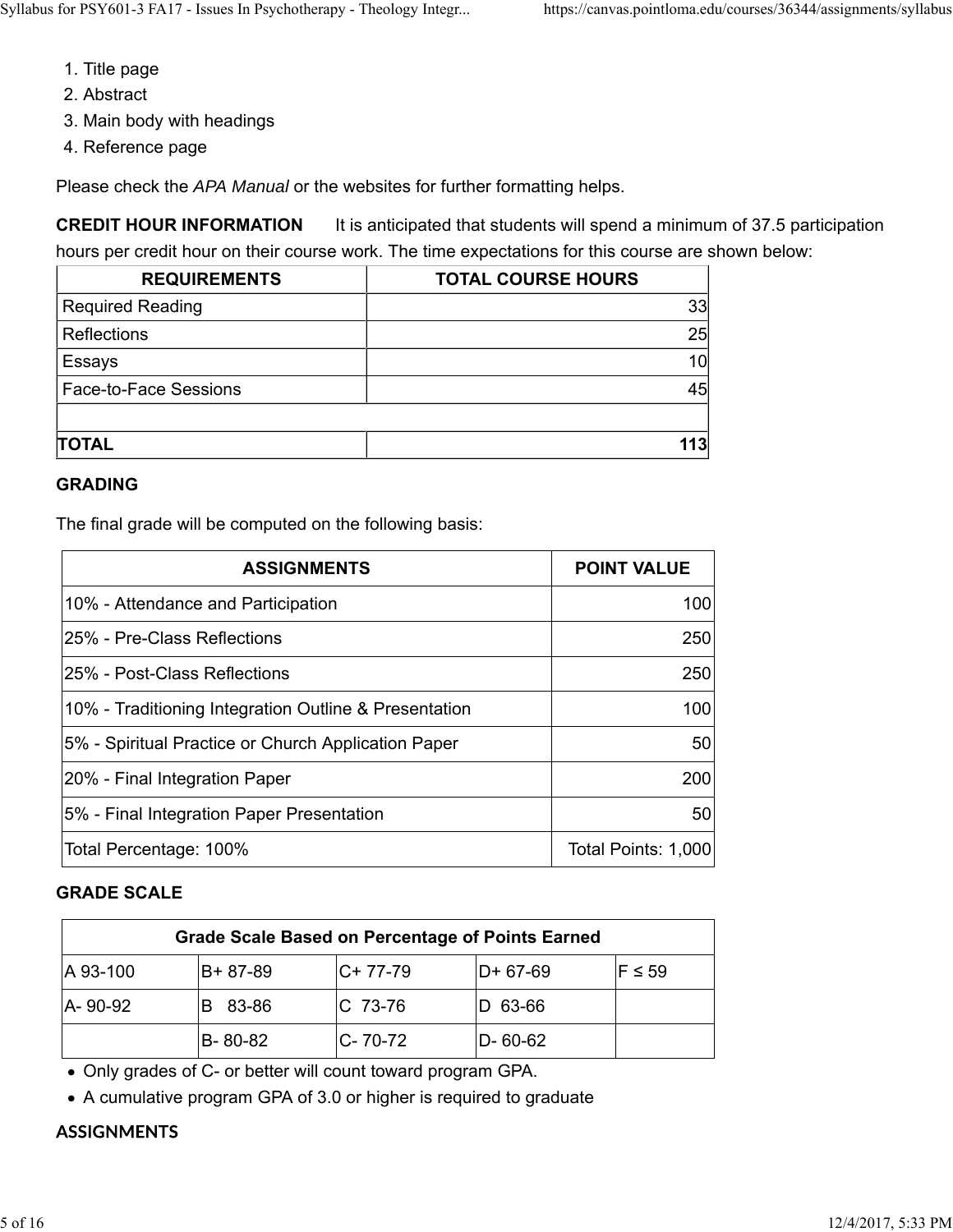- 1. Title page
- 2. Abstract
- 3. Main body with headings
- 4. Reference page

Please check the *APA Manual* or the websites for further formatting helps.

**CREDIT HOUR INFORMATION** It is anticipated that students will spend a minimum of 37.5 participation hours per credit hour on their course work. The time expectations for this course are shown below:

| <b>REQUIREMENTS</b>          | <b>TOTAL COURSE HOURS</b> |
|------------------------------|---------------------------|
| <b>Required Reading</b>      | 33                        |
| Reflections                  | 25                        |
| Essays                       | 10                        |
| <b>Face-to-Face Sessions</b> | 45                        |
|                              |                           |
| <b>TOTAL</b>                 | 113                       |

#### **GRADING**

The final grade will be computed on the following basis:

| <b>ASSIGNMENTS</b>                                    | <b>POINT VALUE</b>  |
|-------------------------------------------------------|---------------------|
| 10% - Attendance and Participation                    | 100                 |
| I25% - Pre-Class Reflections                          | 250                 |
| I25% - Post-Class Reflections                         | 250                 |
| 10% - Traditioning Integration Outline & Presentation | 100                 |
| 5% - Spiritual Practice or Church Application Paper   | 50                  |
| 20% - Final Integration Paper                         | 200                 |
| 5% - Final Integration Paper Presentation             | 50                  |
| Total Percentage: 100%                                | Total Points: 1,000 |

#### **GRADE SCALE**

| <b>Grade Scale Based on Percentage of Points Earned</b> |            |            |               |            |  |
|---------------------------------------------------------|------------|------------|---------------|------------|--|
| A 93-100                                                | B+87-89    | $C+ 77-79$ | $ D+67-69 $   | $F \le 59$ |  |
| A-90-92                                                 | 83-86<br>в | IC 73-76   | D 63-66       |            |  |
|                                                         | B-80-82    | IC-70-72   | $D - 60 - 62$ |            |  |

Only grades of C- or better will count toward program GPA.

A cumulative program GPA of 3.0 or higher is required to graduate

#### **ASSIGNMENTS**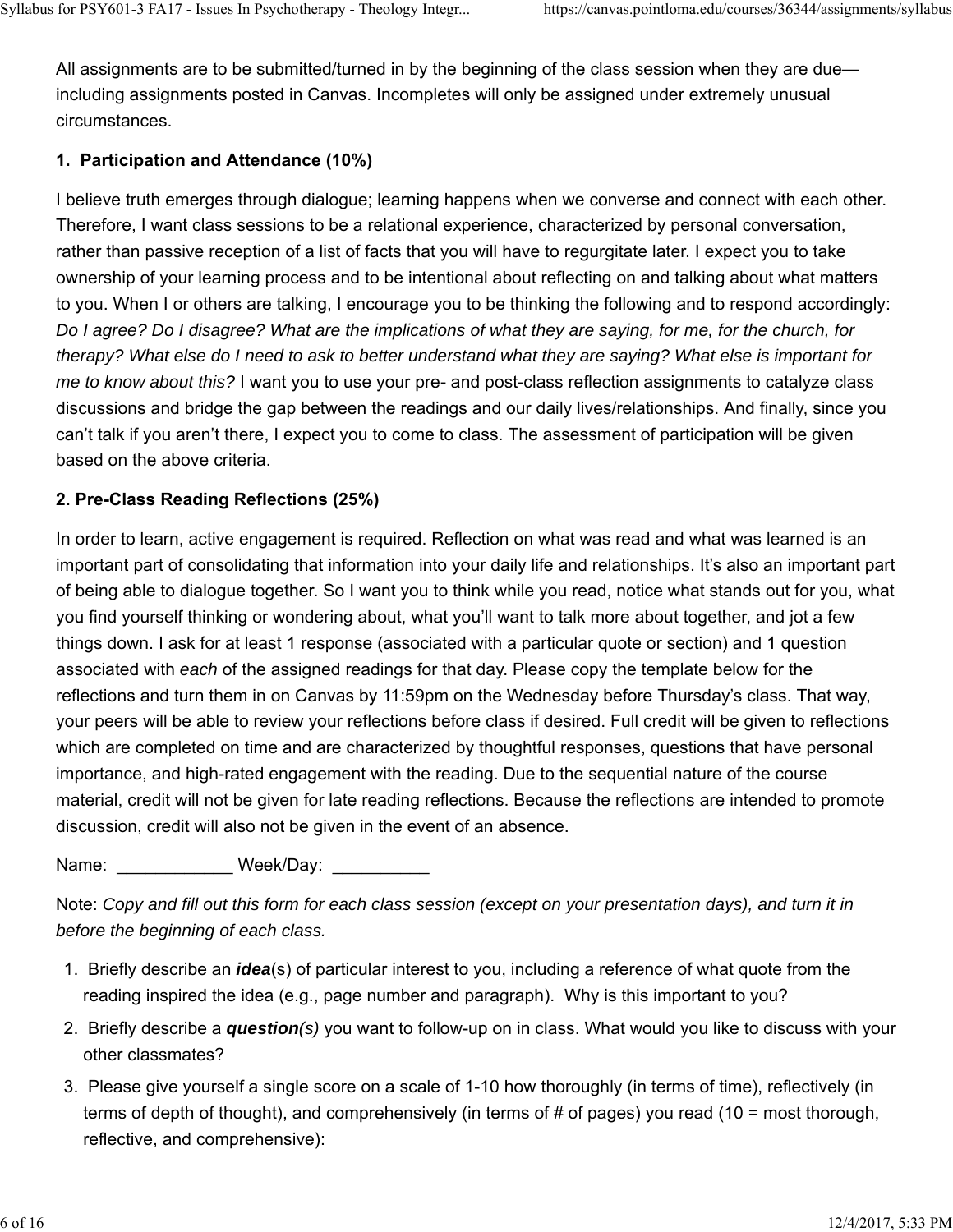All assignments are to be submitted/turned in by the beginning of the class session when they are due including assignments posted in Canvas. Incompletes will only be assigned under extremely unusual circumstances.

# **1. Participation and Attendance (10%)**

I believe truth emerges through dialogue; learning happens when we converse and connect with each other. Therefore, I want class sessions to be a relational experience, characterized by personal conversation, rather than passive reception of a list of facts that you will have to regurgitate later. I expect you to take ownership of your learning process and to be intentional about reflecting on and talking about what matters to you. When I or others are talking, I encourage you to be thinking the following and to respond accordingly: *Do I agree? Do I disagree? What are the implications of what they are saying, for me, for the church, for therapy? What else do I need to ask to better understand what they are saying? What else is important for me to know about this?* I want you to use your pre- and post-class reflection assignments to catalyze class discussions and bridge the gap between the readings and our daily lives/relationships. And finally, since you can't talk if you aren't there, I expect you to come to class. The assessment of participation will be given based on the above criteria.

# **2. Pre-Class Reading Reflections (25%)**

In order to learn, active engagement is required. Reflection on what was read and what was learned is an important part of consolidating that information into your daily life and relationships. It's also an important part of being able to dialogue together. So I want you to think while you read, notice what stands out for you, what you find yourself thinking or wondering about, what you'll want to talk more about together, and jot a few things down. I ask for at least 1 response (associated with a particular quote or section) and 1 question associated with *each* of the assigned readings for that day. Please copy the template below for the reflections and turn them in on Canvas by 11:59pm on the Wednesday before Thursday's class. That way, your peers will be able to review your reflections before class if desired. Full credit will be given to reflections which are completed on time and are characterized by thoughtful responses, questions that have personal importance, and high-rated engagement with the reading. Due to the sequential nature of the course material, credit will not be given for late reading reflections. Because the reflections are intended to promote discussion, credit will also not be given in the event of an absence.

Name: Week/Day:

Note: *Copy and fill out this form for each class session (except on your presentation days), and turn it in before the beginning of each class.*

- 1. Briefly describe an *idea*(s) of particular interest to you, including a reference of what quote from the reading inspired the idea (e.g., page number and paragraph). Why is this important to you?
- 2. Briefly describe a *question(s)* you want to follow-up on in class. What would you like to discuss with your other classmates?
- 3. Please give yourself a single score on a scale of 1-10 how thoroughly (in terms of time), reflectively (in terms of depth of thought), and comprehensively (in terms of # of pages) you read (10 = most thorough, reflective, and comprehensive):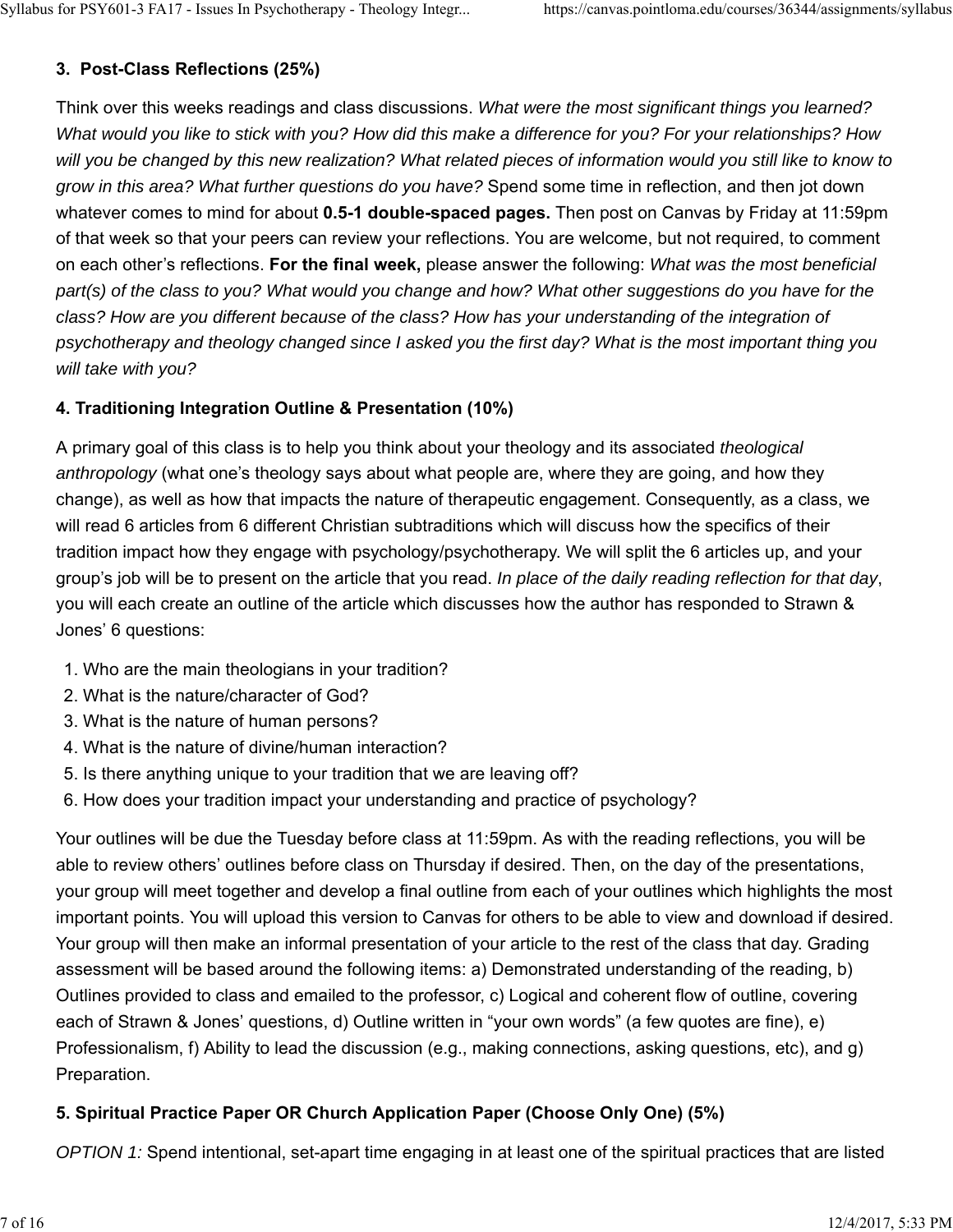# **3. Post-Class Reflections (25%)**

Think over this weeks readings and class discussions. *What were the most significant things you learned? What would you like to stick with you? How did this make a difference for you? For your relationships? How will you be changed by this new realization? What related pieces of information would you still like to know to grow in this area? What further questions do you have?* Spend some time in reflection, and then jot down whatever comes to mind for about **0.5-1 double-spaced pages.** Then post on Canvas by Friday at 11:59pm of that week so that your peers can review your reflections. You are welcome, but not required, to comment on each other's reflections. **For the final week,** please answer the following: *What was the most beneficial part(s) of the class to you? What would you change and how? What other suggestions do you have for the class? How are you different because of the class? How has your understanding of the integration of psychotherapy and theology changed since I asked you the first day? What is the most important thing you will take with you?*

# **4. Traditioning Integration Outline & Presentation (10%)**

A primary goal of this class is to help you think about your theology and its associated *theological anthropology* (what one's theology says about what people are, where they are going, and how they change), as well as how that impacts the nature of therapeutic engagement. Consequently, as a class, we will read 6 articles from 6 different Christian subtraditions which will discuss how the specifics of their tradition impact how they engage with psychology/psychotherapy. We will split the 6 articles up, and your group's job will be to present on the article that you read. *In place of the daily reading reflection for that day*, you will each create an outline of the article which discusses how the author has responded to Strawn & Jones' 6 questions:

- 1. Who are the main theologians in your tradition?
- 2. What is the nature/character of God?
- 3. What is the nature of human persons?
- 4. What is the nature of divine/human interaction?
- 5. Is there anything unique to your tradition that we are leaving off?
- 6. How does your tradition impact your understanding and practice of psychology?

Your outlines will be due the Tuesday before class at 11:59pm. As with the reading reflections, you will be able to review others' outlines before class on Thursday if desired. Then, on the day of the presentations, your group will meet together and develop a final outline from each of your outlines which highlights the most important points. You will upload this version to Canvas for others to be able to view and download if desired. Your group will then make an informal presentation of your article to the rest of the class that day. Grading assessment will be based around the following items: a) Demonstrated understanding of the reading, b) Outlines provided to class and emailed to the professor, c) Logical and coherent flow of outline, covering each of Strawn & Jones' questions, d) Outline written in "your own words" (a few quotes are fine), e) Professionalism, f) Ability to lead the discussion (e.g., making connections, asking questions, etc), and g) Preparation.

# **5. Spiritual Practice Paper OR Church Application Paper (Choose Only One) (5%)**

*OPTION 1:* Spend intentional, set-apart time engaging in at least one of the spiritual practices that are listed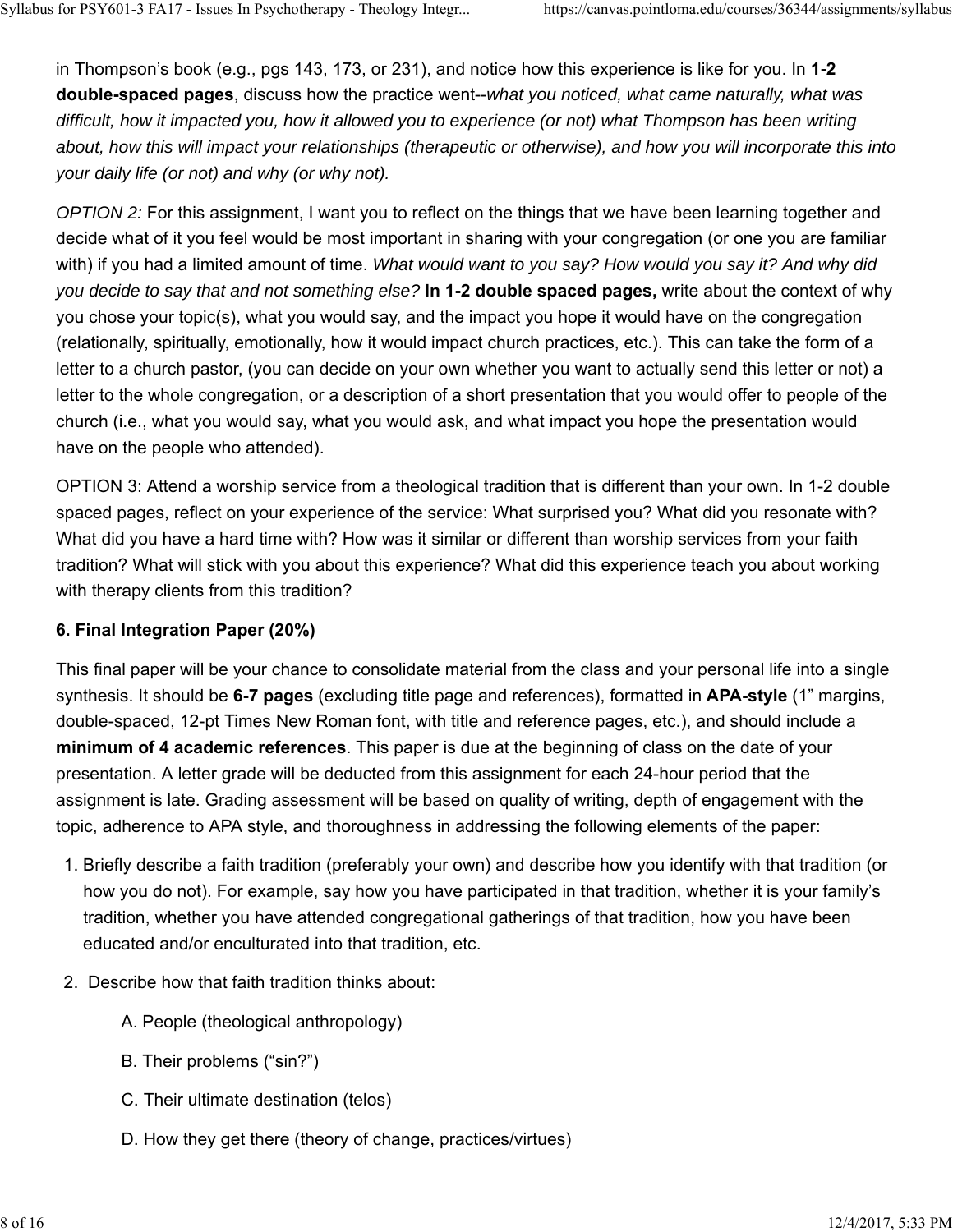in Thompson's book (e.g., pgs 143, 173, or 231), and notice how this experience is like for you. In **1-2 double-spaced pages**, discuss how the practice went--*what you noticed, what came naturally, what was difficult, how it impacted you, how it allowed you to experience (or not) what Thompson has been writing about, how this will impact your relationships (therapeutic or otherwise), and how you will incorporate this into your daily life (or not) and why (or why not).*

*OPTION 2:* For this assignment, I want you to reflect on the things that we have been learning together and decide what of it you feel would be most important in sharing with your congregation (or one you are familiar with) if you had a limited amount of time. *What would want to you say? How would you say it? And why did you decide to say that and not something else?* **In 1-2 double spaced pages,** write about the context of why you chose your topic(s), what you would say, and the impact you hope it would have on the congregation (relationally, spiritually, emotionally, how it would impact church practices, etc.). This can take the form of a letter to a church pastor, (you can decide on your own whether you want to actually send this letter or not) a letter to the whole congregation, or a description of a short presentation that you would offer to people of the church (i.e., what you would say, what you would ask, and what impact you hope the presentation would have on the people who attended).

OPTION 3: Attend a worship service from a theological tradition that is different than your own. In 1-2 double spaced pages, reflect on your experience of the service: What surprised you? What did you resonate with? What did you have a hard time with? How was it similar or different than worship services from your faith tradition? What will stick with you about this experience? What did this experience teach you about working with therapy clients from this tradition?

# **6. Final Integration Paper (20%)**

This final paper will be your chance to consolidate material from the class and your personal life into a single synthesis. It should be **6-7 pages** (excluding title page and references), formatted in **APA-style** (1" margins, double-spaced, 12-pt Times New Roman font, with title and reference pages, etc.), and should include a **minimum of 4 academic references**. This paper is due at the beginning of class on the date of your presentation. A letter grade will be deducted from this assignment for each 24-hour period that the assignment is late. Grading assessment will be based on quality of writing, depth of engagement with the topic, adherence to APA style, and thoroughness in addressing the following elements of the paper:

- 1. Briefly describe a faith tradition (preferably your own) and describe how you identify with that tradition (or how you do not). For example, say how you have participated in that tradition, whether it is your family's tradition, whether you have attended congregational gatherings of that tradition, how you have been educated and/or enculturated into that tradition, etc.
- 2. Describe how that faith tradition thinks about:
	- A. People (theological anthropology)
	- B. Their problems ("sin?")
	- C. Their ultimate destination (telos)
	- D. How they get there (theory of change, practices/virtues)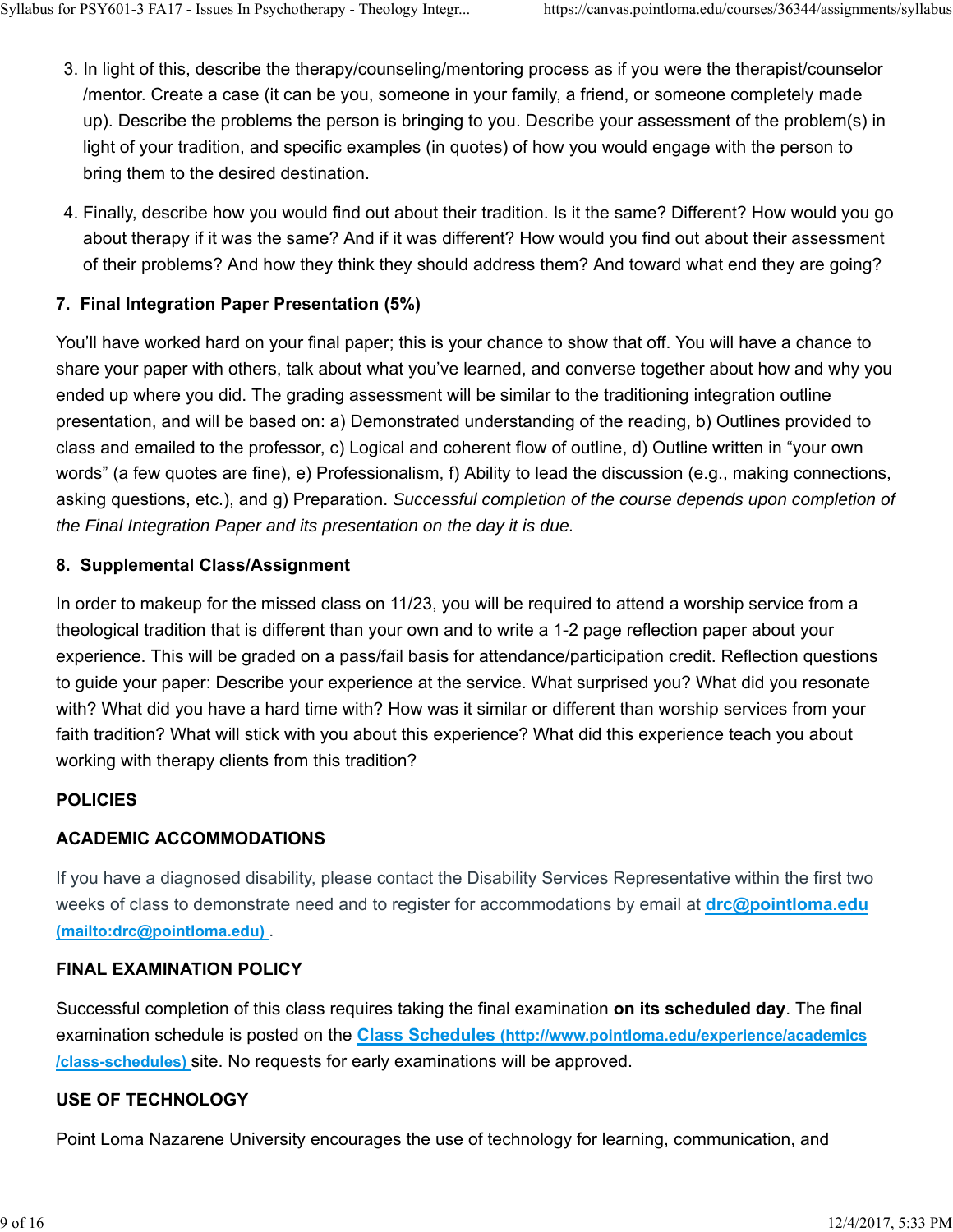- 3. In light of this, describe the therapy/counseling/mentoring process as if you were the therapist/counselor /mentor. Create a case (it can be you, someone in your family, a friend, or someone completely made up). Describe the problems the person is bringing to you. Describe your assessment of the problem(s) in light of your tradition, and specific examples (in quotes) of how you would engage with the person to bring them to the desired destination.
- Finally, describe how you would find out about their tradition. Is it the same? Different? How would you go 4. about therapy if it was the same? And if it was different? How would you find out about their assessment of their problems? And how they think they should address them? And toward what end they are going?

# **7. Final Integration Paper Presentation (5%)**

You'll have worked hard on your final paper; this is your chance to show that off. You will have a chance to share your paper with others, talk about what you've learned, and converse together about how and why you ended up where you did. The grading assessment will be similar to the traditioning integration outline presentation, and will be based on: a) Demonstrated understanding of the reading, b) Outlines provided to class and emailed to the professor, c) Logical and coherent flow of outline, d) Outline written in "your own words" (a few quotes are fine), e) Professionalism, f) Ability to lead the discussion (e.g., making connections, asking questions, etc.), and g) Preparation. *Successful completion of the course depends upon completion of the Final Integration Paper and its presentation on the day it is due.* 

## **8. Supplemental Class/Assignment**

In order to makeup for the missed class on 11/23, you will be required to attend a worship service from a theological tradition that is different than your own and to write a 1-2 page reflection paper about your experience. This will be graded on a pass/fail basis for attendance/participation credit. Reflection questions to guide your paper: Describe your experience at the service. What surprised you? What did you resonate with? What did you have a hard time with? How was it similar or different than worship services from your faith tradition? What will stick with you about this experience? What did this experience teach you about working with therapy clients from this tradition?

## **POLICIES**

# **ACADEMIC ACCOMMODATIONS**

If you have a diagnosed disability, please contact the Disability Services Representative within the first two weeks of class to demonstrate need and to register for accommodations by email at **drc@pointloma.edu (mailto:drc@pointloma.edu)** .

## **FINAL EXAMINATION POLICY**

Successful completion of this class requires taking the final examination **on its scheduled day**. The final examination schedule is posted on the **Class Schedules (http://www.pointloma.edu/experience/academics /class-schedules)** site. No requests for early examinations will be approved.

## **USE OF TECHNOLOGY**

Point Loma Nazarene University encourages the use of technology for learning, communication, and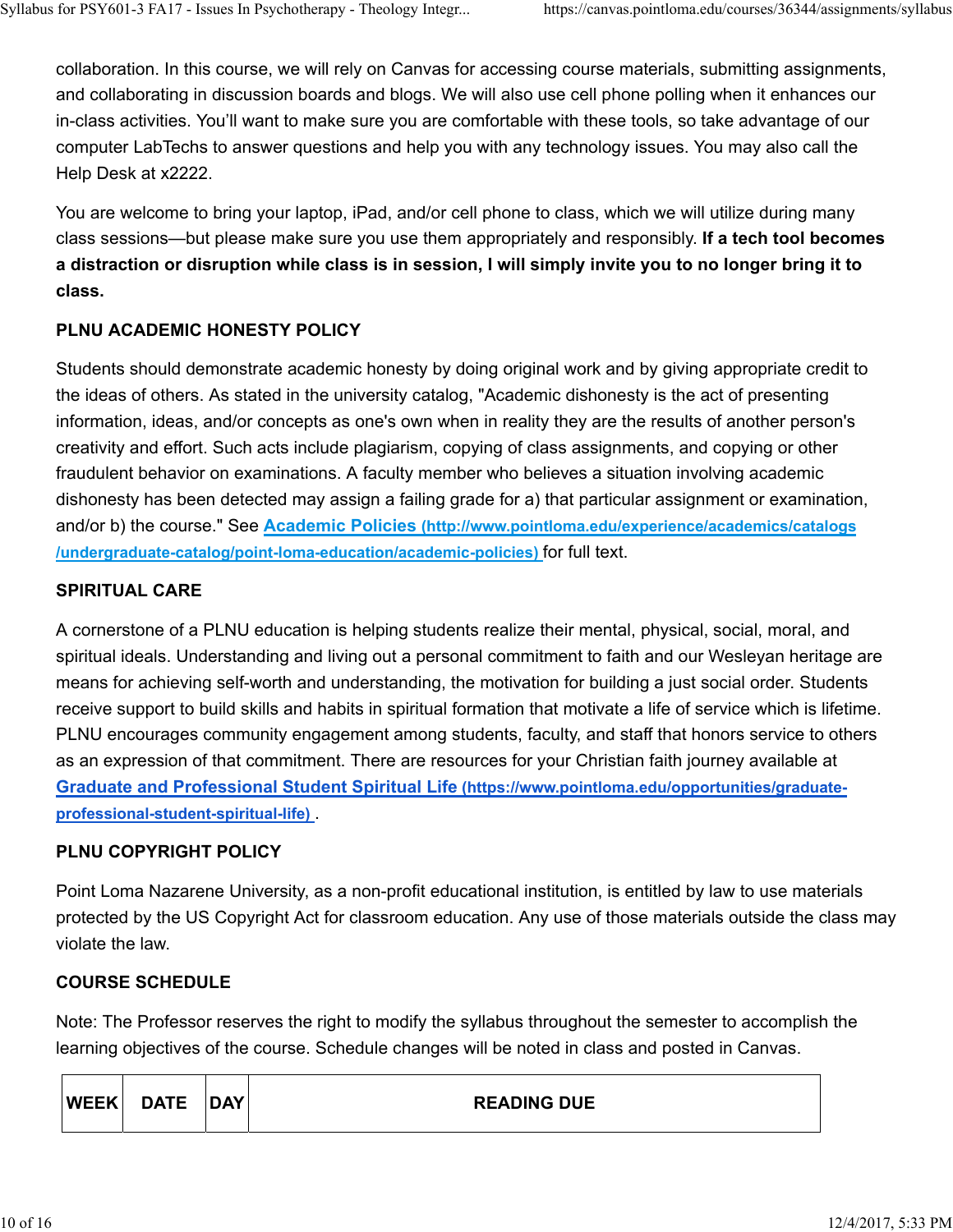collaboration. In this course, we will rely on Canvas for accessing course materials, submitting assignments, and collaborating in discussion boards and blogs. We will also use cell phone polling when it enhances our in-class activities. You'll want to make sure you are comfortable with these tools, so take advantage of our computer LabTechs to answer questions and help you with any technology issues. You may also call the Help Desk at x2222.

You are welcome to bring your laptop, iPad, and/or cell phone to class, which we will utilize during many class sessions—but please make sure you use them appropriately and responsibly. **If a tech tool becomes a distraction or disruption while class is in session, I will simply invite you to no longer bring it to class.**

# **PLNU ACADEMIC HONESTY POLICY**

Students should demonstrate academic honesty by doing original work and by giving appropriate credit to the ideas of others. As stated in the university catalog, "Academic dishonesty is the act of presenting information, ideas, and/or concepts as one's own when in reality they are the results of another person's creativity and effort. Such acts include plagiarism, copying of class assignments, and copying or other fraudulent behavior on examinations. A faculty member who believes a situation involving academic dishonesty has been detected may assign a failing grade for a) that particular assignment or examination, and/or b) the course." See **Academic Policies (http://www.pointloma.edu/experience/academics/catalogs /undergraduate-catalog/point-loma-education/academic-policies)** for full text.

## **SPIRITUAL CARE**

A cornerstone of a PLNU education is helping students realize their mental, physical, social, moral, and spiritual ideals. Understanding and living out a personal commitment to faith and our Wesleyan heritage are means for achieving self-worth and understanding, the motivation for building a just social order. Students receive support to build skills and habits in spiritual formation that motivate a life of service which is lifetime. PLNU encourages community engagement among students, faculty, and staff that honors service to others as an expression of that commitment. There are resources for your Christian faith journey available at **Graduate and Professional Student Spiritual Life (https://www.pointloma.edu/opportunities/graduateprofessional-student-spiritual-life)** .

## **PLNU COPYRIGHT POLICY**

Point Loma Nazarene University, as a non-profit educational institution, is entitled by law to use materials protected by the US Copyright Act for classroom education. Any use of those materials outside the class may violate the law.

## **COURSE SCHEDULE**

Note: The Professor reserves the right to modify the syllabus throughout the semester to accomplish the learning objectives of the course. Schedule changes will be noted in class and posted in Canvas.

| <b>WEEK</b> | <b>DATE</b> | <b>DAY</b> | <b>READING DUE</b> |  |
|-------------|-------------|------------|--------------------|--|
|-------------|-------------|------------|--------------------|--|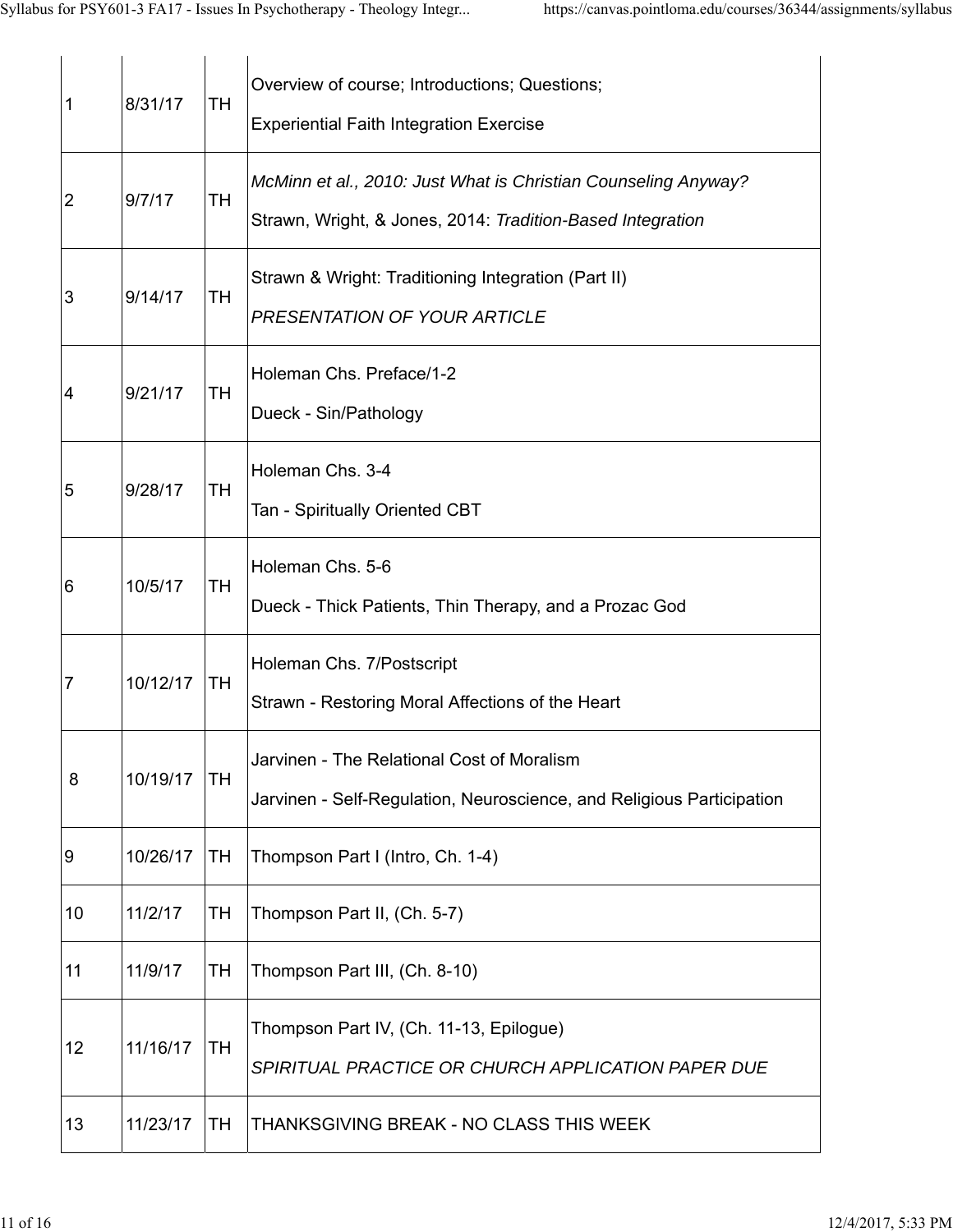| 1              | 8/31/17  | <b>TH</b> | Overview of course; Introductions; Questions;<br><b>Experiential Faith Integration Exercise</b>                              |
|----------------|----------|-----------|------------------------------------------------------------------------------------------------------------------------------|
| $\overline{2}$ | 9/7/17   | <b>TH</b> | McMinn et al., 2010: Just What is Christian Counseling Anyway?<br>Strawn, Wright, & Jones, 2014: Tradition-Based Integration |
| 3              | 9/14/17  | <b>TH</b> | Strawn & Wright: Traditioning Integration (Part II)<br>PRESENTATION OF YOUR ARTICLE                                          |
| 4              | 9/21/17  | <b>TH</b> | Holeman Chs. Preface/1-2<br>Dueck - Sin/Pathology                                                                            |
| 5              | 9/28/17  | <b>TH</b> | Holeman Chs. 3-4<br>Tan - Spiritually Oriented CBT                                                                           |
| 6              | 10/5/17  | TH        | Holeman Chs. 5-6<br>Dueck - Thick Patients, Thin Therapy, and a Prozac God                                                   |
| 7              | 10/12/17 | TH        | Holeman Chs. 7/Postscript<br>Strawn - Restoring Moral Affections of the Heart                                                |
| 8              | 10/19/17 | TH        | Jarvinen - The Relational Cost of Moralism<br>Jarvinen - Self-Regulation, Neuroscience, and Religious Participation          |
| 9              | 10/26/17 | <b>TH</b> | Thompson Part I (Intro, Ch. 1-4)                                                                                             |
| 10             | 11/2/17  | TH        | Thompson Part II, (Ch. 5-7)                                                                                                  |
| 11             | 11/9/17  | TН        | Thompson Part III, (Ch. 8-10)                                                                                                |
| 12             | 11/16/17 | TH        | Thompson Part IV, (Ch. 11-13, Epilogue)<br>SPIRITUAL PRACTICE OR CHURCH APPLICATION PAPER DUE                                |
| 13             | 11/23/17 | TН        | THANKSGIVING BREAK - NO CLASS THIS WEEK                                                                                      |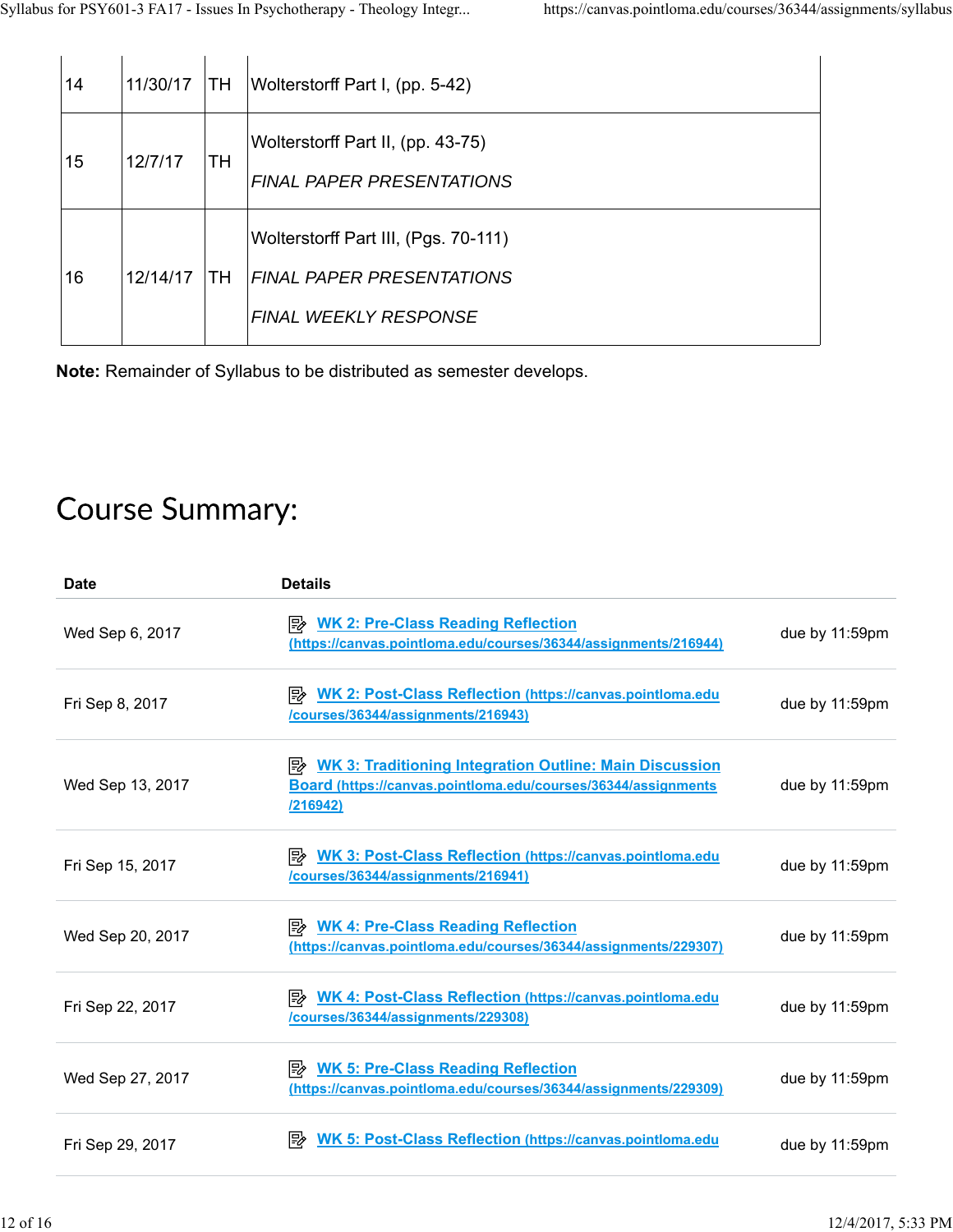| 14 | 11/30/17 | ITH.      | Wolterstorff Part I, (pp. 5-42)                                                                          |
|----|----------|-----------|----------------------------------------------------------------------------------------------------------|
| 15 | 12/7/17  | TH        | Wolterstorff Part II, (pp. 43-75)<br><b>FINAL PAPER PRESENTATIONS</b>                                    |
| 16 | 12/14/17 | <b>TH</b> | Wolterstorff Part III, (Pgs. 70-111)<br><b>FINAL PAPER PRESENTATIONS</b><br><b>FINAL WEEKLY RESPONSE</b> |

**Note:** Remainder of Syllabus to be distributed as semester develops.

# **Course Summary:**

| <b>Date</b>      | <b>Details</b>                                                                                                                                |                |
|------------------|-----------------------------------------------------------------------------------------------------------------------------------------------|----------------|
| Wed Sep 6, 2017  | <b>E</b> WK 2: Pre-Class Reading Reflection<br>(https://canvas.pointloma.edu/courses/36344/assignments/216944)                                | due by 11:59pm |
| Fri Sep 8, 2017  | <b>WK 2: Post-Class Reflection (https://canvas.pointloma.edu</b><br>/courses/36344/assignments/216943)                                        | due by 11:59pm |
| Wed Sep 13, 2017 | <b>E</b> WK 3: Traditioning Integration Outline: Main Discussion<br>Board (https://canvas.pointloma.edu/courses/36344/assignments<br>/216942) | due by 11:59pm |
| Fri Sep 15, 2017 | WK 3: Post-Class Reflection (https://canvas.pointloma.edu<br>/courses/36344/assignments/216941)                                               | due by 11:59pm |
| Wed Sep 20, 2017 | <b>E</b> WK 4: Pre-Class Reading Reflection<br>(https://canvas.pointloma.edu/courses/36344/assignments/229307)                                | due by 11:59pm |
| Fri Sep 22, 2017 | WK 4: Post-Class Reflection (https://canvas.pointloma.edu<br>/courses/36344/assignments/229308)                                               | due by 11:59pm |
| Wed Sep 27, 2017 | <b>E</b> WK 5: Pre-Class Reading Reflection<br>(https://canvas.pointloma.edu/courses/36344/assignments/229309)                                | due by 11:59pm |
| Fri Sep 29, 2017 | <b>WK 5: Post-Class Reflection (https://canvas.pointloma.edu</b><br>⊯                                                                         | due by 11:59pm |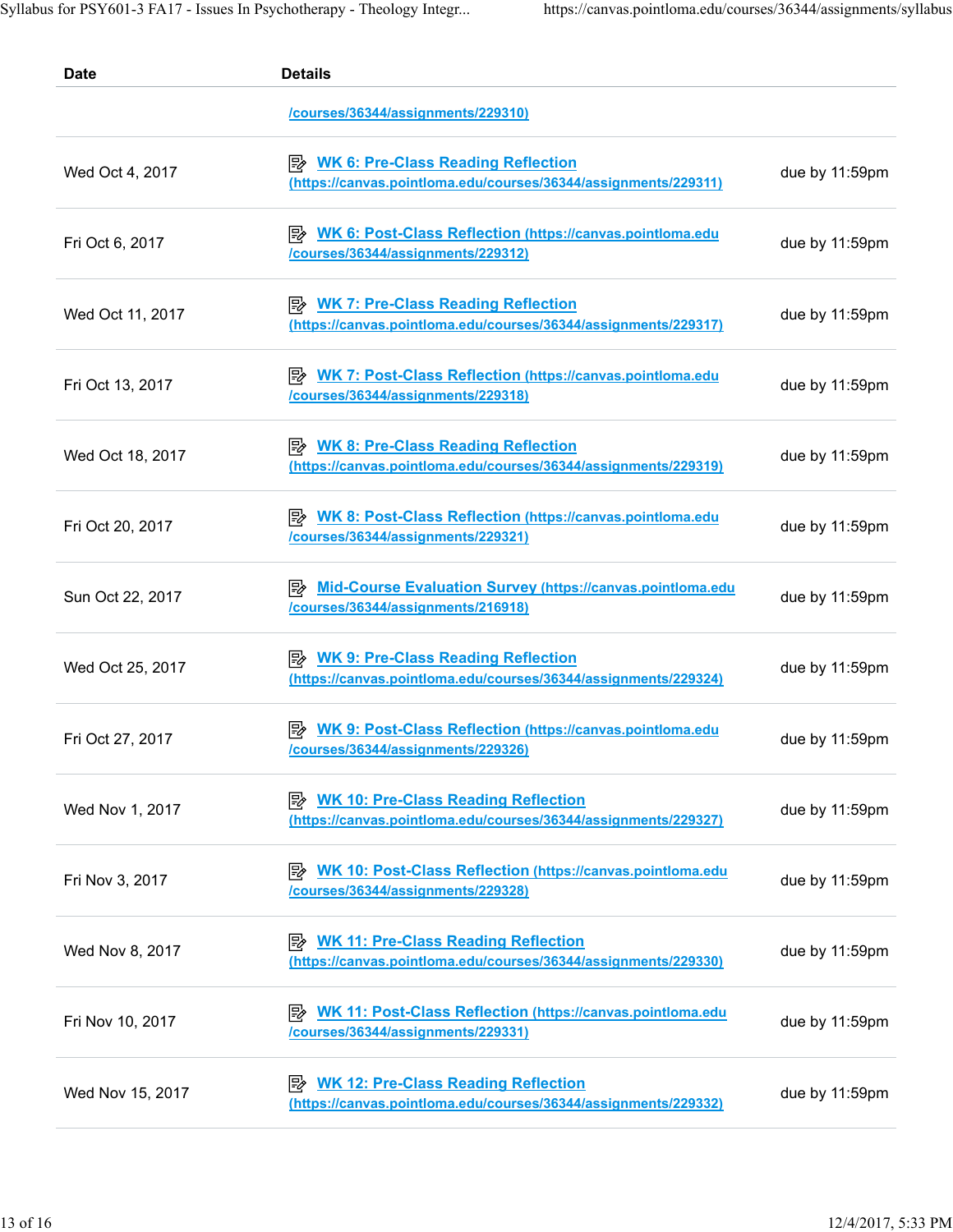| <b>Date</b>      | <b>Details</b>                                                                                                       |                |
|------------------|----------------------------------------------------------------------------------------------------------------------|----------------|
|                  | /courses/36344/assignments/229310)                                                                                   |                |
| Wed Oct 4, 2017  | <b>E</b> WK 6: Pre-Class Reading Reflection<br>(https://canvas.pointloma.edu/courses/36344/assignments/229311)       | due by 11:59pm |
| Fri Oct 6, 2017  | <b>E</b> WK 6: Post-Class Reflection (https://canvas.pointloma.edu<br>/courses/36344/assignments/229312)             | due by 11:59pm |
| Wed Oct 11, 2017 | <b>WK 7: Pre-Class Reading Reflection</b><br> ₩<br>(https://canvas.pointloma.edu/courses/36344/assignments/229317)   | due by 11:59pm |
| Fri Oct 13, 2017 | <b>WK 7: Post-Class Reflection (https://canvas.pointloma.edu</b><br> ≅≽<br>/courses/36344/assignments/229318)        | due by 11:59pm |
| Wed Oct 18, 2017 | <b>E</b> WK 8: Pre-Class Reading Reflection<br>(https://canvas.pointloma.edu/courses/36344/assignments/229319)       | due by 11:59pm |
| Fri Oct 20, 2017 | <b>EXAMUA WK 8: Post-Class Reflection (https://canvas.pointloma.edu</b><br>/courses/36344/assignments/229321)        | due by 11:59pm |
| Sun Oct 22, 2017 | Mid-Course Evaluation Survey (https://canvas.pointloma.edu<br>/courses/36344/assignments/216918)                     | due by 11:59pm |
| Wed Oct 25, 2017 | <b>E</b> WK 9: Pre-Class Reading Reflection<br>(https://canvas.pointloma.edu/courses/36344/assignments/229324)       | due by 11:59pm |
| Fri Oct 27, 2017 | <b>WK 9: Post-Class Reflection (https://canvas.pointloma.edu</b><br> ⋽≽<br>/courses/36344/assignments/229326)        | due by 11:59pm |
| Wed Nov 1, 2017  | <b>WK 10: Pre-Class Reading Reflection</b><br>∣≅≽<br>(https://canvas.pointloma.edu/courses/36344/assignments/229327) | due by 11:59pm |
| Fri Nov 3, 2017  | <b>WK 10: Post-Class Reflection (https://canvas.pointloma.edu</b><br>/courses/36344/assignments/229328)              | due by 11:59pm |
| Wed Nov 8, 2017  | <b>E</b> WK 11: Pre-Class Reading Reflection<br>(https://canvas.pointloma.edu/courses/36344/assignments/229330)      | due by 11:59pm |
| Fri Nov 10, 2017 | <b>E</b> WK 11: Post-Class Reflection (https://canvas.pointloma.edu<br>/courses/36344/assignments/229331)            | due by 11:59pm |
| Wed Nov 15, 2017 | <b>WK 12: Pre-Class Reading Reflection</b><br>⊯<br>(https://canvas.pointloma.edu/courses/36344/assignments/229332)   | due by 11:59pm |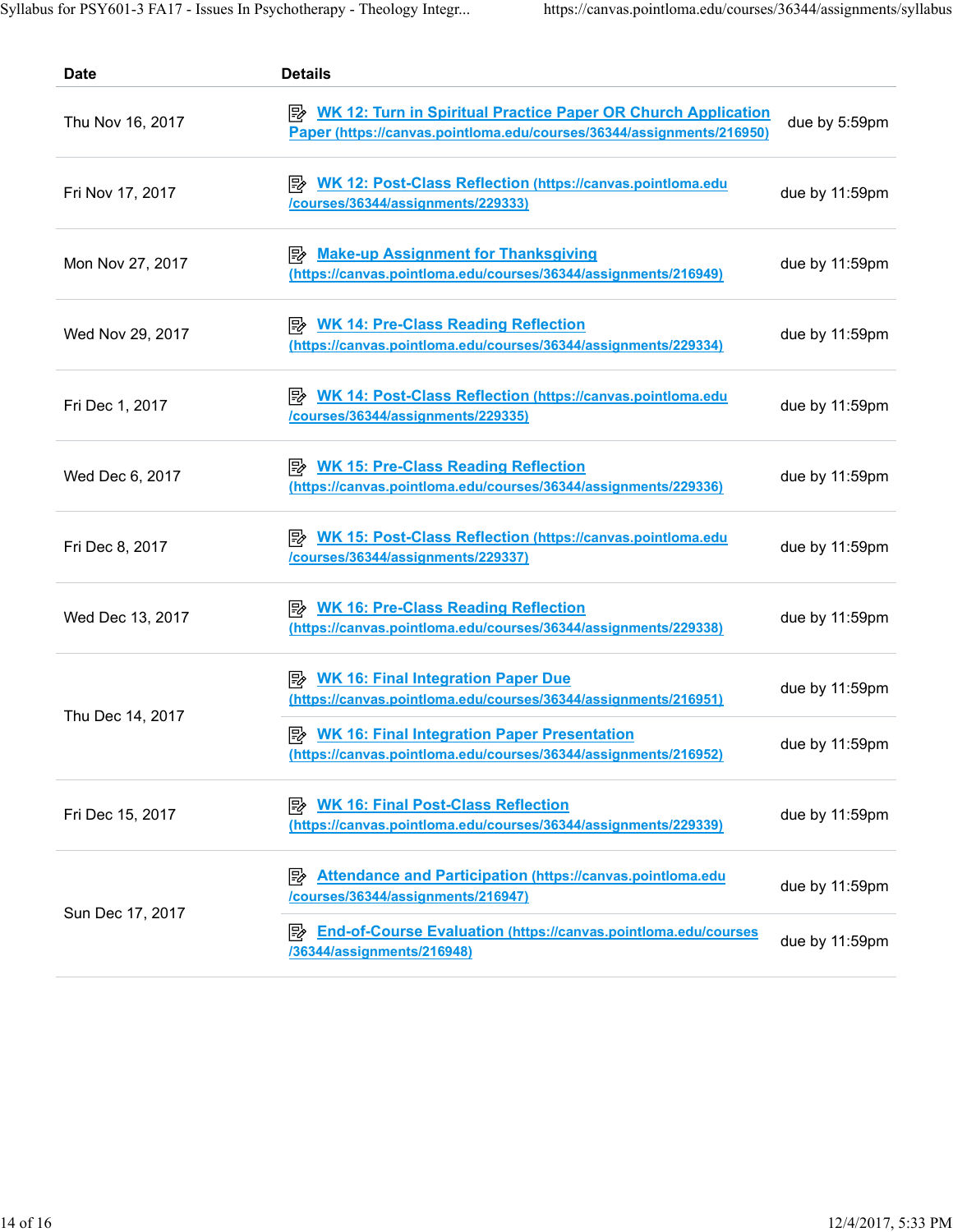| <b>Date</b>      | <b>Details</b>                                                                                                                         |                |
|------------------|----------------------------------------------------------------------------------------------------------------------------------------|----------------|
| Thu Nov 16, 2017 | WK 12: Turn in Spiritual Practice Paper OR Church Application<br>Paper (https://canvas.pointloma.edu/courses/36344/assignments/216950) | due by 5:59pm  |
| Fri Nov 17, 2017 | <b>WK 12: Post-Class Reflection (https://canvas.pointloma.edu</b><br>/courses/36344/assignments/229333)                                | due by 11:59pm |
| Mon Nov 27, 2017 | <b>Make-up Assignment for Thanksgiving</b><br>⊯<br>(https://canvas.pointloma.edu/courses/36344/assignments/216949)                     | due by 11:59pm |
| Wed Nov 29, 2017 | <b>WK 14: Pre-Class Reading Reflection</b><br>יש<br>(https://canvas.pointloma.edu/courses/36344/assignments/229334)                    | due by 11:59pm |
| Fri Dec 1, 2017  | <b>E</b> WK 14: Post-Class Reflection (https://canvas.pointloma.edu<br>/courses/36344/assignments/229335)                              | due by 11:59pm |
| Wed Dec 6, 2017  | <b>WK 15: Pre-Class Reading Reflection</b><br>(https://canvas.pointloma.edu/courses/36344/assignments/229336)                          | due by 11:59pm |
| Fri Dec 8, 2017  | <b>E</b> WK 15: Post-Class Reflection (https://canvas.pointloma.edu<br>/courses/36344/assignments/229337)                              | due by 11:59pm |
| Wed Dec 13, 2017 | <b>E</b> WK 16: Pre-Class Reading Reflection<br>(https://canvas.pointloma.edu/courses/36344/assignments/229338)                        | due by 11:59pm |
| Thu Dec 14, 2017 | <b>WK 16: Final Integration Paper Due</b><br> 5≽<br>(https://canvas.pointloma.edu/courses/36344/assignments/216951)                    | due by 11:59pm |
|                  | <b>E</b> WK 16: Final Integration Paper Presentation<br>(https://canvas.pointloma.edu/courses/36344/assignments/216952)                | due by 11:59pm |
| Fri Dec 15, 2017 | <b>WK 16: Final Post-Class Reflection</b><br> 5≽<br>(https://canvas.pointloma.edu/courses/36344/assignments/229339)                    | due by 11:59pm |
| Sun Dec 17, 2017 | <b>Attendance and Participation (https://canvas.pointloma.edu</b><br>⊯<br>/courses/36344/assignments/216947)                           | due by 11:59pm |
|                  | <b>End-of-Course Evaluation (https://canvas.pointloma.edu/courses</b><br> ⋽≽<br>/36344/assignments/216948)                             | due by 11:59pm |